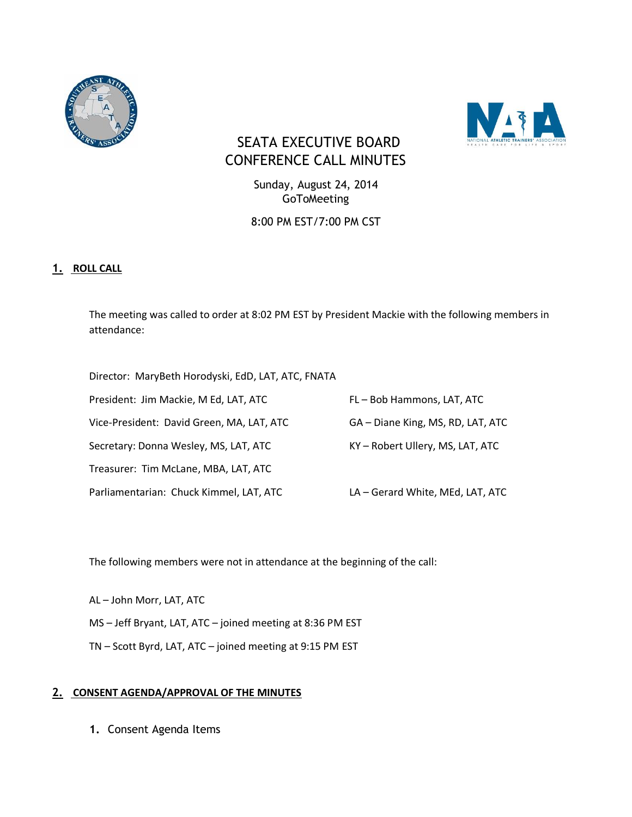



# SEATA EXECUTIVE BOARD CONFERENCE CALL MINUTES

Sunday, August 24, 2014 **GoToMeeting** 

## 8:00 PM EST/7:00 PM CST

## **1. ROLL CALL**

The meeting was called to order at 8:02 PM EST by President Mackie with the following members in attendance:

Director: MaryBeth Horodyski, EdD, LAT, ATC, FNATA

| President: Jim Mackie, M Ed, LAT, ATC     | FL-Bob Hammons, LAT, ATC          |
|-------------------------------------------|-----------------------------------|
| Vice-President: David Green, MA, LAT, ATC | GA – Diane King, MS, RD, LAT, ATC |
| Secretary: Donna Wesley, MS, LAT, ATC     | KY - Robert Ullery, MS, LAT, ATC  |
| Treasurer: Tim McLane, MBA, LAT, ATC      |                                   |
| Parliamentarian: Chuck Kimmel, LAT, ATC   | LA - Gerard White, MEd, LAT, ATC  |

The following members were not in attendance at the beginning of the call:

AL – John Morr, LAT, ATC

MS – Jeff Bryant, LAT, ATC – joined meeting at 8:36 PM EST

TN – Scott Byrd, LAT, ATC – joined meeting at 9:15 PM EST

#### **2. CONSENT AGENDA/APPROVAL OF THE MINUTES**

**1.** Consent Agenda Items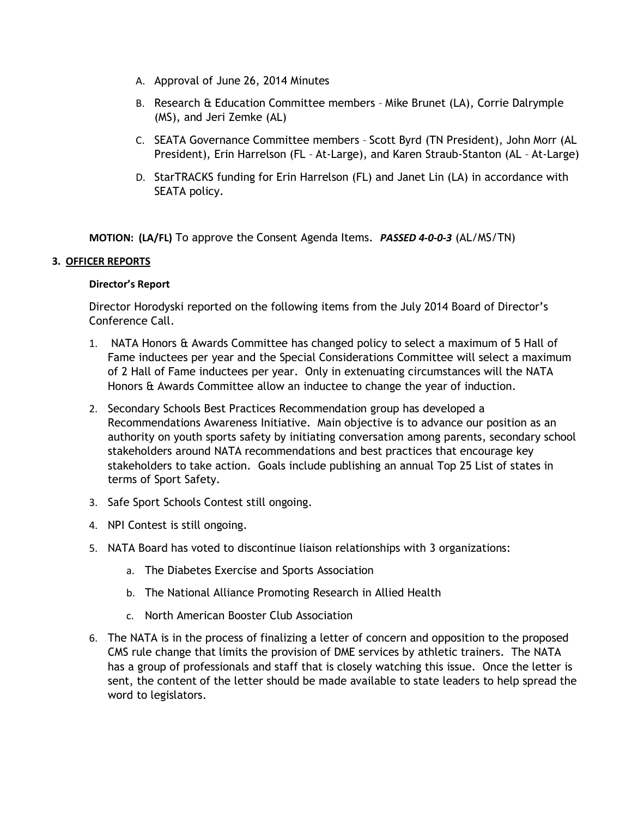- A. Approval of June 26, 2014 Minutes
- B. Research & Education Committee members Mike Brunet (LA), Corrie Dalrymple (MS), and Jeri Zemke (AL)
- C. SEATA Governance Committee members Scott Byrd (TN President), John Morr (AL President), Erin Harrelson (FL – At-Large), and Karen Straub-Stanton (AL – At-Large)
- D. StarTRACKS funding for Erin Harrelson (FL) and Janet Lin (LA) in accordance with SEATA policy.

**MOTION: (LA/FL)** To approve the Consent Agenda Items. *PASSED 4-0-0-3* (AL/MS/TN)

#### **3. OFFICER REPORTS**

#### **Director's Report**

Director Horodyski reported on the following items from the July 2014 Board of Director's Conference Call.

- 1. NATA Honors & Awards Committee has changed policy to select a maximum of 5 Hall of Fame inductees per year and the Special Considerations Committee will select a maximum of 2 Hall of Fame inductees per year. Only in extenuating circumstances will the NATA Honors & Awards Committee allow an inductee to change the year of induction.
- 2. Secondary Schools Best Practices Recommendation group has developed a Recommendations Awareness Initiative. Main objective is to advance our position as an authority on youth sports safety by initiating conversation among parents, secondary school stakeholders around NATA recommendations and best practices that encourage key stakeholders to take action. Goals include publishing an annual Top 25 List of states in terms of Sport Safety.
- 3. Safe Sport Schools Contest still ongoing.
- 4. NPI Contest is still ongoing.
- 5. NATA Board has voted to discontinue liaison relationships with 3 organizations:
	- a. The Diabetes Exercise and Sports Association
	- b. The National Alliance Promoting Research in Allied Health
	- c. North American Booster Club Association
- 6. The NATA is in the process of finalizing a letter of concern and opposition to the proposed CMS rule change that limits the provision of DME services by athletic trainers. The NATA has a group of professionals and staff that is closely watching this issue. Once the letter is sent, the content of the letter should be made available to state leaders to help spread the word to legislators.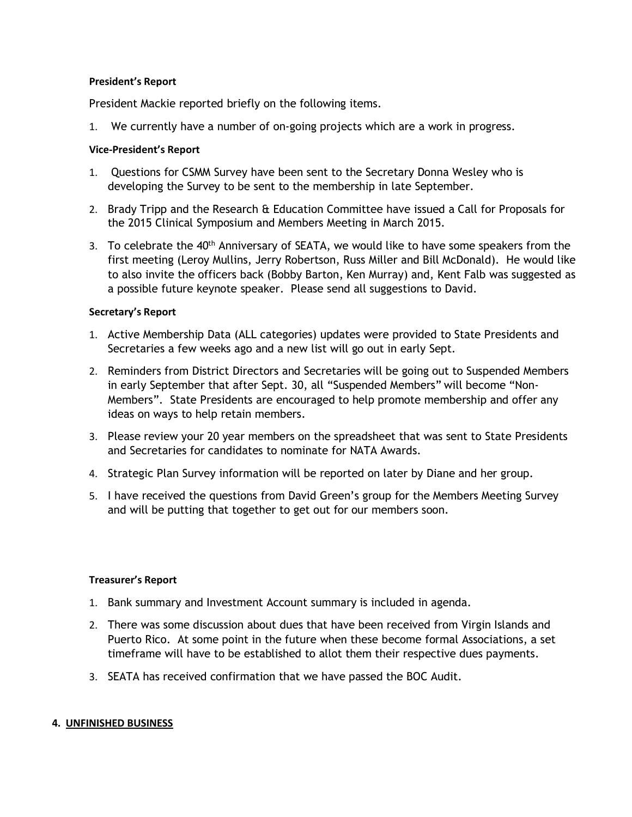#### **President's Report**

President Mackie reported briefly on the following items.

1. We currently have a number of on-going projects which are a work in progress.

#### **Vice-President's Report**

- 1. Questions for CSMM Survey have been sent to the Secretary Donna Wesley who is developing the Survey to be sent to the membership in late September.
- 2. Brady Tripp and the Research & Education Committee have issued a Call for Proposals for the 2015 Clinical Symposium and Members Meeting in March 2015.
- 3. To celebrate the 40<sup>th</sup> Anniversary of SEATA, we would like to have some speakers from the first meeting (Leroy Mullins, Jerry Robertson, Russ Miller and Bill McDonald). He would like to also invite the officers back (Bobby Barton, Ken Murray) and, Kent Falb was suggested as a possible future keynote speaker. Please send all suggestions to David.

#### **Secretary's Report**

- 1. Active Membership Data (ALL categories) updates were provided to State Presidents and Secretaries a few weeks ago and a new list will go out in early Sept.
- 2. Reminders from District Directors and Secretaries will be going out to Suspended Members in early September that after Sept. 30, all "Suspended Members" will become "Non-Members". State Presidents are encouraged to help promote membership and offer any ideas on ways to help retain members.
- 3. Please review your 20 year members on the spreadsheet that was sent to State Presidents and Secretaries for candidates to nominate for NATA Awards.
- 4. Strategic Plan Survey information will be reported on later by Diane and her group.
- 5. I have received the questions from David Green's group for the Members Meeting Survey and will be putting that together to get out for our members soon.

#### **Treasurer's Report**

- 1. Bank summary and Investment Account summary is included in agenda.
- 2. There was some discussion about dues that have been received from Virgin Islands and Puerto Rico. At some point in the future when these become formal Associations, a set timeframe will have to be established to allot them their respective dues payments.
- 3. SEATA has received confirmation that we have passed the BOC Audit.

#### **4. UNFINISHED BUSINESS**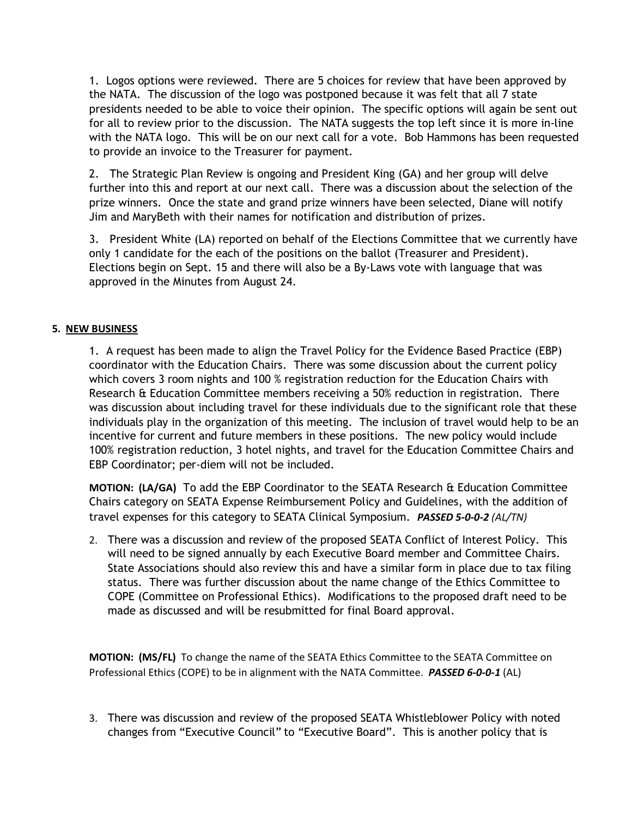1. Logos options were reviewed. There are 5 choices for review that have been approved by the NATA. The discussion of the logo was postponed because it was felt that all 7 state presidents needed to be able to voice their opinion. The specific options will again be sent out for all to review prior to the discussion. The NATA suggests the top left since it is more in-line with the NATA logo. This will be on our next call for a vote. Bob Hammons has been requested to provide an invoice to the Treasurer for payment.

2. The Strategic Plan Review is ongoing and President King (GA) and her group will delve further into this and report at our next call. There was a discussion about the selection of the prize winners. Once the state and grand prize winners have been selected, Diane will notify Jim and MaryBeth with their names for notification and distribution of prizes.

3. President White (LA) reported on behalf of the Elections Committee that we currently have only 1 candidate for the each of the positions on the ballot (Treasurer and President). Elections begin on Sept. 15 and there will also be a By-Laws vote with language that was approved in the Minutes from August 24.

#### **5. NEW BUSINESS**

1. A request has been made to align the Travel Policy for the Evidence Based Practice (EBP) coordinator with the Education Chairs. There was some discussion about the current policy which covers 3 room nights and 100 % registration reduction for the Education Chairs with Research & Education Committee members receiving a 50% reduction in registration. There was discussion about including travel for these individuals due to the significant role that these individuals play in the organization of this meeting. The inclusion of travel would help to be an incentive for current and future members in these positions. The new policy would include 100% registration reduction, 3 hotel nights, and travel for the Education Committee Chairs and EBP Coordinator; per-diem will not be included.

**MOTION: (LA/GA)** To add the EBP Coordinator to the SEATA Research & Education Committee Chairs category on SEATA Expense Reimbursement Policy and Guidelines, with the addition of travel expenses for this category to SEATA Clinical Symposium. *PASSED 5-0-0-2 (AL/TN)*

2. There was a discussion and review of the proposed SEATA Conflict of Interest Policy. This will need to be signed annually by each Executive Board member and Committee Chairs. State Associations should also review this and have a similar form in place due to tax filing status. There was further discussion about the name change of the Ethics Committee to COPE (Committee on Professional Ethics). Modifications to the proposed draft need to be made as discussed and will be resubmitted for final Board approval.

**MOTION: (MS/FL)** To change the name of the SEATA Ethics Committee to the SEATA Committee on Professional Ethics (COPE) to be in alignment with the NATA Committee. *PASSED 6-0-0-1* (AL)

3. There was discussion and review of the proposed SEATA Whistleblower Policy with noted changes from "Executive Council" to "Executive Board". This is another policy that is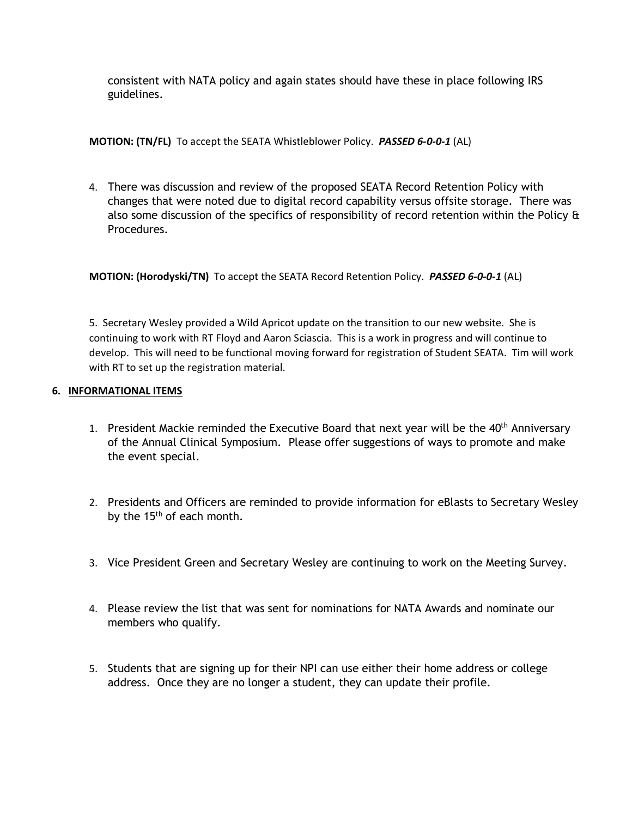consistent with NATA policy and again states should have these in place following IRS guidelines.

### **MOTION: (TN/FL)** To accept the SEATA Whistleblower Policy. *PASSED 6-0-0-1* (AL)

4. There was discussion and review of the proposed SEATA Record Retention Policy with changes that were noted due to digital record capability versus offsite storage. There was also some discussion of the specifics of responsibility of record retention within the Policy & Procedures.

**MOTION: (Horodyski/TN)** To accept the SEATA Record Retention Policy. *PASSED 6-0-0-1* (AL)

5. Secretary Wesley provided a Wild Apricot update on the transition to our new website. She is continuing to work with RT Floyd and Aaron Sciascia. This is a work in progress and will continue to develop. This will need to be functional moving forward for registration of Student SEATA. Tim will work with RT to set up the registration material.

#### **6. INFORMATIONAL ITEMS**

- 1. President Mackie reminded the Executive Board that next year will be the 40<sup>th</sup> Anniversary of the Annual Clinical Symposium. Please offer suggestions of ways to promote and make the event special.
- 2. Presidents and Officers are reminded to provide information for eBlasts to Secretary Wesley by the 15<sup>th</sup> of each month.
- 3. Vice President Green and Secretary Wesley are continuing to work on the Meeting Survey.
- 4. Please review the list that was sent for nominations for NATA Awards and nominate our members who qualify.
- 5. Students that are signing up for their NPI can use either their home address or college address. Once they are no longer a student, they can update their profile.